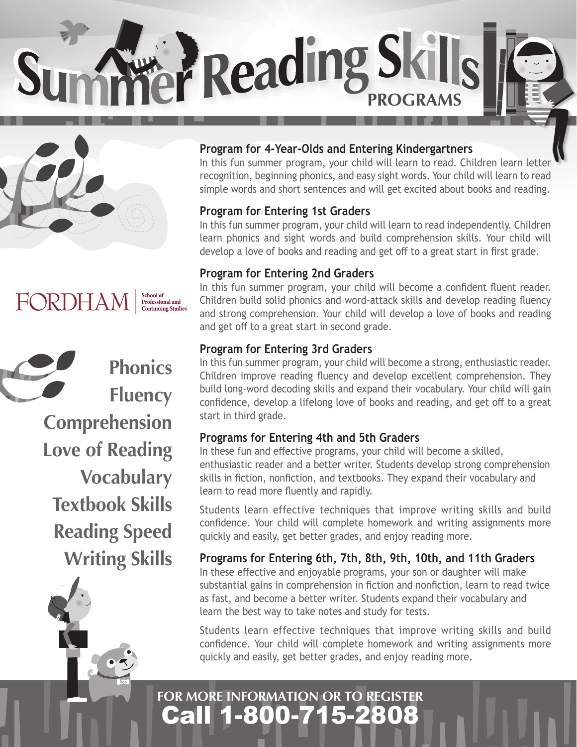**PReading Skills** 





**Phonics Fluency Comprehension Love of Reading Vocabulary Textbook Skills Reading Speed Writing Skills**

fido

### **Program for 4-Year-Olds and Entering Kindergartners**

In this fun summer program, your child will learn to read. Children learn letter recognition, beginning phonics, and easy sight words. Your child will learn to read simple words and short sentences and will get excited about books and reading.

#### **Program for Entering 1st Graders**

In this fun summer program, your child will learn to read independently. Children learn phonics and sight words and build comprehension skills. Your child will develop a love of books and reading and get off to a great start in first grade.

#### **Program for Entering 2nd Graders**

In this fun summer program, your child will become a confident fluent reader. Children build solid phonics and word-attack skills and develop reading fluency and strong comprehension. Your child will develop a love of books and reading and get off to a great start in second grade.

## **Program for Entering 3rd Graders**

In this fun summer program, your child will become a strong, enthusiastic reader. Children improve reading fluency and develop excellent comprehension. They build long-word decoding skills and expand their vocabulary. Your child will gain confidence, develop a lifelong love of books and reading, and get off to a great start in third grade.

#### **Programs for Entering 4th and 5th Graders**

In these fun and effective programs, your child will become a skilled, enthusiastic reader and a better writer. Students develop strong comprehension skills in fiction, nonfiction, and textbooks. They expand their vocabulary and learn to read more fluently and rapidly.

Students learn effective techniques that improve writing skills and build confidence. Your child will complete homework and writing assignments more quickly and easily, get better grades, and enjoy reading more.

#### **Programs for Entering 6th, 7th, 8th, 9th, 10th, and 11th Graders**

In these effective and enjoyable programs, your son or daughter will make substantial gains in comprehension in fiction and nonfiction, learn to read twice as fast, and become a better writer. Students expand their vocabulary and learn the best way to take notes and study for tests.

Students learn effective techniques that improve writing skills and build confidence. Your child will complete homework and writing assignments more quickly and easily, get better grades, and enjoy reading more.

# Call 1-800-715-2808 **FOR MORE INFORMATION OR TO REGISTER**